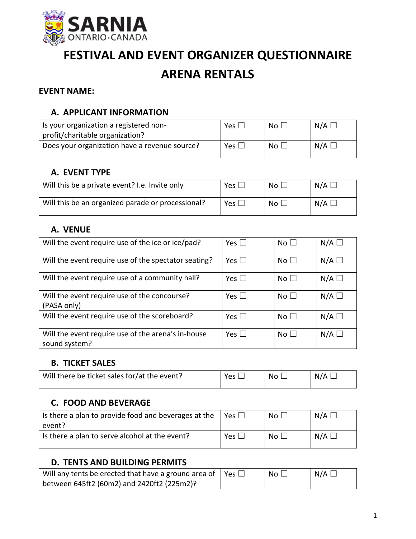

# **FESTIVAL AND EVENT ORGANIZER QUESTIONNAIRE ARENA RENTALS**

#### **EVENT NAME:**

## **A. APPLICANT INFORMATION**

| Is your organization a registered non-        | Yes $\mathsf{L}$ | No <sub>1</sub> | $N/A \Box$      |
|-----------------------------------------------|------------------|-----------------|-----------------|
| profit/charitable organization?               |                  |                 |                 |
| Does your organization have a revenue source? | Yes $\Box$       | No <sub>1</sub> | $N/A$ $\square$ |

### **A. EVENT TYPE**

| Will this be a private event? I.e. Invite only    | Yes.       | No L | $N/A \Box$      |
|---------------------------------------------------|------------|------|-----------------|
| Will this be an organized parade or processional? | $Yes \Box$ |      | $N/A$ $\square$ |

## **A. VENUE**

| Will the event require use of the ice or ice/pad?                   | $Yes \mid \mid$ | No <sub>1</sub> | $N/A$ $\square$ |
|---------------------------------------------------------------------|-----------------|-----------------|-----------------|
| Will the event require use of the spectator seating?                | Yes $\Box$      | No <sub>1</sub> | $N/A$ $\square$ |
| Will the event require use of a community hall?                     | $Yes \mid \mid$ | No <sub>1</sub> | $N/A$ $\square$ |
| Will the event require use of the concourse?<br>(PASA only)         | $Yes \mid \mid$ | No <sub>1</sub> | $N/A$ $\square$ |
| Will the event require use of the scoreboard?                       | Yes $\Box$      | No <sub>1</sub> | $N/A$ $\square$ |
| Will the event require use of the arena's in-house<br>sound system? | $Yes \mid \mid$ | No <sub>1</sub> | $N/A$ $\square$ |

## **B. TICKET SALES**

| Will there be ticket sales for/at the event? | <b>Yes</b> | No. | N/A |
|----------------------------------------------|------------|-----|-----|
|                                              |            |     |     |

## **C. FOOD AND BEVERAGE**

| Is there a plan to provide food and beverages at the<br>event? | Yes $\vert \ \vert$ | $\overline{\mathsf{No}} \; \Box$ | $N/A$ $\square$ |
|----------------------------------------------------------------|---------------------|----------------------------------|-----------------|
| Is there a plan to serve alcohol at the event?                 | Yes $\Box$          | $N_O$ $\vert$ $\vert$            | $N/A$ $\square$ |

### **D. TENTS AND BUILDING PERMITS**

| Will any tents be erected that have a ground area of $\parallel$ Yes $\Box$ | - No L | $N/A$ $\square$ |
|-----------------------------------------------------------------------------|--------|-----------------|
| between 645ft2 (60m2) and 2420ft2 (225m2)?                                  |        |                 |